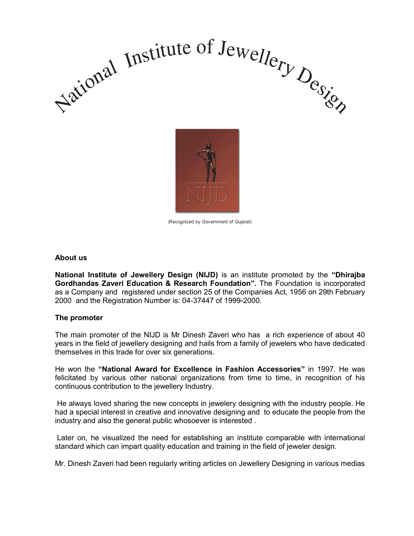



(Recognized by Government of Gujarat)

#### **About us**

**National Institute of Jewellery Design (NIJD)** is an institute promoted by the **"Dhirajba Gordhandas Zaveri Education & Research Foundation".** The Foundation is incorporated as a Company and registered under section 25 of the Companies Act, 1956 on 29th February 2000 and the Registration Number is: 04-37447 of 1999-2000.

#### **The promoter**

The main promoter of the NIJD is Mr Dinesh Zaveri who has a rich experience of about 40 years in the field of jewellery designing and hails from a family of jewelers who have dedicated themselves in this trade for over six generations.

He won the **"National Award for Excellence in Fashion Accessories"** in 1997. He was felicitated by various other national organizations from time to time, in recognition of his continuous contribution to the jewellery Industry.

 He always loved sharing the new concepts in jewelery designing with the industry people. He had a special interest in creative and innovative designing and to educate the people from the industry and also the general public whosoever is interested .

 Later on, he visualized the need for establishing an institute comparable with international standard which can impart quality education and training in the field of jeweler design.

Mr. Dinesh Zaveri had been regularly writing articles on Jewellery Designing in various medias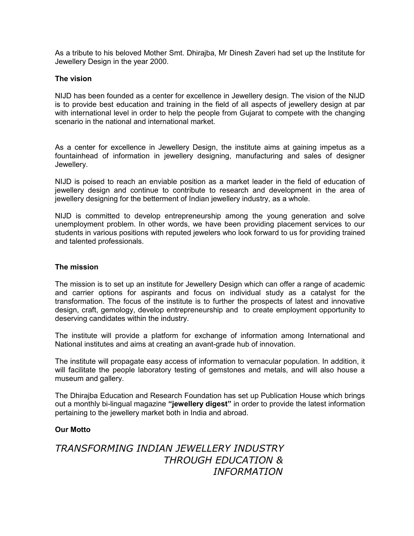As a tribute to his beloved Mother Smt. Dhirajba, Mr Dinesh Zaveri had set up the Institute for Jewellery Design in the year 2000.

#### **The vision**

NIJD has been founded as a center for excellence in Jewellery design. The vision of the NIJD is to provide best education and training in the field of all aspects of jewellery design at par with international level in order to help the people from Gujarat to compete with the changing scenario in the national and international market.

As a center for excellence in Jewellery Design, the institute aims at gaining impetus as a fountainhead of information in jewellery designing, manufacturing and sales of designer Jewellery.

NIJD is poised to reach an enviable position as a market leader in the field of education of jewellery design and continue to contribute to research and development in the area of jewellery designing for the betterment of Indian jewellery industry, as a whole.

NIJD is committed to develop entrepreneurship among the young generation and solve unemployment problem. In other words, we have been providing placement services to our students in various positions with reputed jewelers who look forward to us for providing trained and talented professionals.

#### **The mission**

The mission is to set up an institute for Jewellery Design which can offer a range of academic and carrier options for aspirants and focus on individual study as a catalyst for the transformation. The focus of the institute is to further the prospects of latest and innovative design, craft, gemology, develop entrepreneurship and to create employment opportunity to deserving candidates within the industry.

The institute will provide a platform for exchange of information among International and National institutes and aims at creating an avant-grade hub of innovation.

The institute will propagate easy access of information to vernacular population. In addition, it will facilitate the people laboratory testing of gemstones and metals, and will also house a museum and gallery.

The Dhirajba Education and Research Foundation has set up Publication House which brings out a monthly bi-lingual magazine **"jewellery digest"** in order to provide the latest information pertaining to the jewellery market both in India and abroad.

#### **Our Motto**

# *TRANSFORMING INDIAN JEWELLERY INDUSTRY THROUGH EDUCATION & INFORMATION*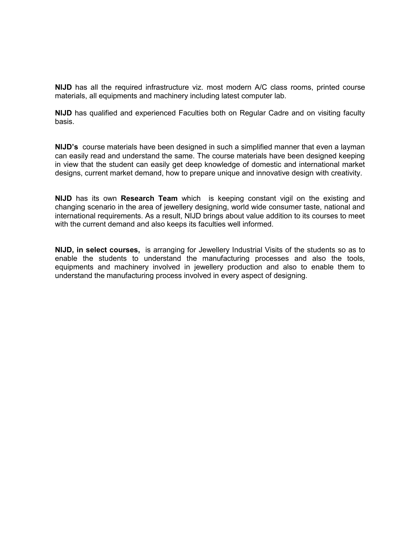**NIJD** has all the required infrastructure viz. most modern A/C class rooms, printed course materials, all equipments and machinery including latest computer lab.

**NIJD** has qualified and experienced Faculties both on Regular Cadre and on visiting faculty basis.

**NIJD's** course materials have been designed in such a simplified manner that even a layman can easily read and understand the same. The course materials have been designed keeping in view that the student can easily get deep knowledge of domestic and international market designs, current market demand, how to prepare unique and innovative design with creativity.

**NIJD** has its own **Research Team** which is keeping constant vigil on the existing and changing scenario in the area of jewellery designing, world wide consumer taste, national and international requirements. As a result, NIJD brings about value addition to its courses to meet with the current demand and also keeps its faculties well informed.

**NIJD, in select courses,** is arranging for Jewellery Industrial Visits of the students so as to enable the students to understand the manufacturing processes and also the tools, equipments and machinery involved in jewellery production and also to enable them to understand the manufacturing process involved in every aspect of designing.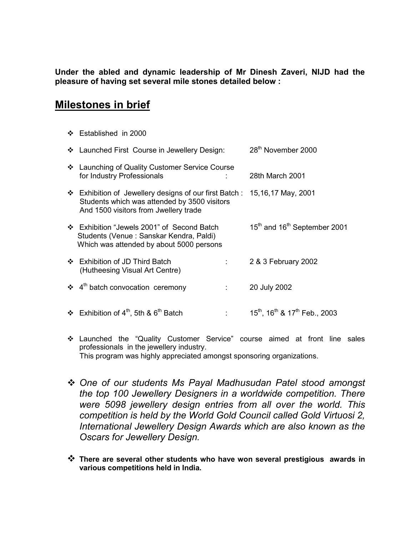**Under the abled and dynamic leadership of Mr Dinesh Zaveri, NIJD had the pleasure of having set several mile stones detailed below :** 

# **Milestones in brief**

Established in 2000

|   | ❖ Launched First Course in Jewellery Design:                                                                                                                       |                    | 28 <sup>th</sup> November 2000                       |
|---|--------------------------------------------------------------------------------------------------------------------------------------------------------------------|--------------------|------------------------------------------------------|
|   | ❖ Launching of Quality Customer Service Course<br>for Industry Professionals                                                                                       |                    | 28th March 2001                                      |
|   | ❖ Exhibition of Jewellery designs of our first Batch : 15,16,17 May, 2001<br>Students which was attended by 3500 visitors<br>And 1500 visitors from Jwellery trade |                    |                                                      |
|   | ❖ Exhibition "Jewels 2001" of Second Batch<br>Students (Venue: Sanskar Kendra, Paldi)<br>Which was attended by about 5000 persons                                  |                    | 15 <sup>th</sup> and 16 <sup>th</sup> September 2001 |
|   | ❖ Exhibition of JD Third Batch<br>(Hutheesing Visual Art Centre)                                                                                                   | <b>The Control</b> | 2 & 3 February 2002                                  |
|   | $\div$ 4 <sup>th</sup> batch convocation ceremony                                                                                                                  |                    | 20 July 2002                                         |
| ❖ | Exhibition of 4 <sup>th</sup> , 5th & 6 <sup>th</sup> Batch                                                                                                        |                    | $15^{th}$ , $16^{th}$ & $17^{th}$ Feb., 2003         |

- Launched the "Quality Customer Service" course aimed at front line sales professionals in the jewellery industry. This program was highly appreciated amongst sponsoring organizations.
- *One of our students Ms Payal Madhusudan Patel stood amongst the top 100 Jewellery Designers in a worldwide competition. There were 5098 jewellery design entries from all over the world. This competition is held by the World Gold Council called Gold Virtuosi 2, International Jewellery Design Awards which are also known as the Oscars for Jewellery Design.*
- **There are several other students who have won several prestigious awards in various competitions held in India.**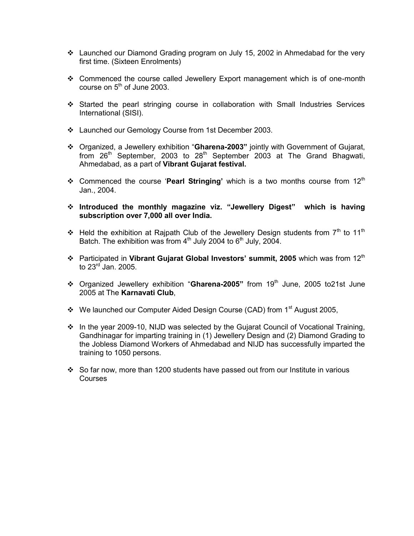- Launched our Diamond Grading program on July 15, 2002 in Ahmedabad for the very first time. (Sixteen Enrolments)
- Commenced the course called Jewellery Export management which is of one-month course on  $5<sup>th</sup>$  of June 2003.
- Started the pearl stringing course in collaboration with Small Industries Services International (SISI).
- Launched our Gemology Course from 1st December 2003.
- Organized, a Jewellery exhibition "**Gharena-2003"** jointly with Government of Gujarat, from  $26<sup>th</sup>$  September, 2003 to  $28<sup>th</sup>$  September 2003 at The Grand Bhagwati, Ahmedabad, as a part of **Vibrant Gujarat festival.**
- **↑** Commenced the course 'Pearl Stringing' which is a two months course from 12<sup>th</sup> Jan., 2004.
- **Introduced the monthly magazine viz. "Jewellery Digest" which is having subscription over 7,000 all over India.**
- Held the exhibition at Rajpath Club of the Jewellery Design students from  $7<sup>th</sup>$  to 11<sup>th</sup> Batch. The exhibition was from  $4<sup>th</sup>$  July 2004 to  $6<sup>th</sup>$  July, 2004.
- **↑** Participated in Vibrant Gujarat Global Investors' summit, 2005 which was from 12<sup>th</sup> to  $23^{\text{rd}}$  Jan. 2005.
- Organized Jewellery exhibition "**Gharena-2005"** from 19th June, 2005 to21st June 2005 at The **Karnavati Club**,
- ❖ We launched our Computer Aided Design Course (CAD) from 1<sup>st</sup> August 2005,
- $\cdot \cdot$  In the year 2009-10, NIJD was selected by the Gujarat Council of Vocational Training, Gandhinagar for imparting training in (1) Jewellery Design and (2) Diamond Grading to the Jobless Diamond Workers of Ahmedabad and NIJD has successfully imparted the training to 1050 persons.
- So far now, more than 1200 students have passed out from our Institute in various Courses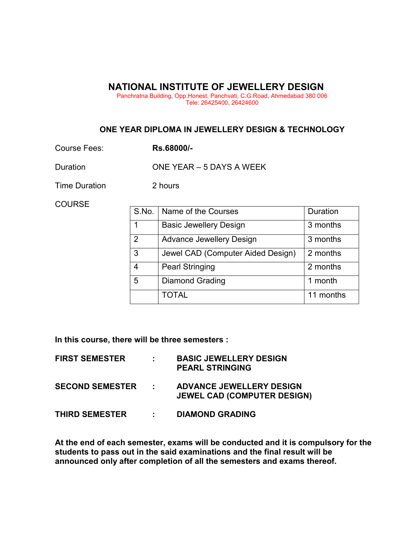### **NATIONAL INSTITUTE OF JEWELLERY DESIGN**

Panchratna Building, Opp.Honest, Panchvati, C.G.Road, Ahmedabad 380 006 Tele: 26425400, 26424600

### **ONE YEAR DIPLOMA IN JEWELLERY DESIGN & TECHNOLOGY**

Course Fees: **Rs.68000/-** 

Duration **ONE YEAR – 5 DAYS A WEEK** 

Time Duration 2 hours

**COURSE** 

| S.No. | Name of the Courses               | Duration  |  |
|-------|-----------------------------------|-----------|--|
|       | <b>Basic Jewellery Design</b>     | 3 months  |  |
| 2     | <b>Advance Jewellery Design</b>   | 3 months  |  |
| 3     | Jewel CAD (Computer Aided Design) | 2 months  |  |
| 4     | <b>Pearl Stringing</b>            | 2 months  |  |
| 5     | <b>Diamond Grading</b>            | 1 month   |  |
|       | <b>TOTAL</b>                      | 11 months |  |

**In this course, there will be three semesters :** 

| <b>FIRST SEMESTER</b>  | $\mathbf{L}$               | <b>BASIC JEWELLERY DESIGN</b><br><b>PEARL STRINGING</b>               |
|------------------------|----------------------------|-----------------------------------------------------------------------|
| <b>SECOND SEMESTER</b> | <b>Contract</b>            | <b>ADVANCE JEWELLERY DESIGN</b><br><b>JEWEL CAD (COMPUTER DESIGN)</b> |
| <b>THIRD SEMESTER</b>  | $\mathcal{L}^{\text{max}}$ | <b>DIAMOND GRADING</b>                                                |

**At the end of each semester, exams will be conducted and it is compulsory for the students to pass out in the said examinations and the final result will be announced only after completion of all the semesters and exams thereof.**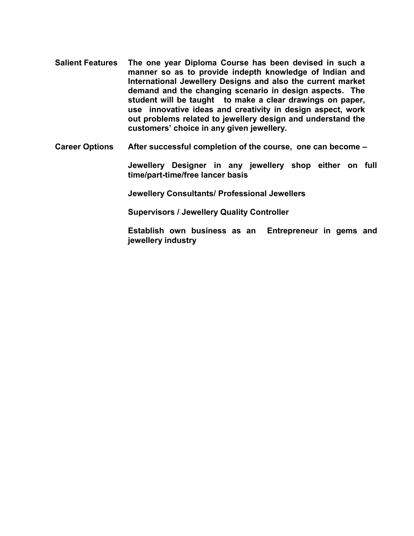- **Salient Features The one year Diploma Course has been devised in such a manner so as to provide indepth knowledge of Indian and International Jewellery Designs and also the current market demand and the changing scenario in design aspects. The student will be taught to make a clear drawings on paper, use innovative ideas and creativity in design aspect, work out problems related to jewellery design and understand the customers' choice in any given jewellery.**
- **Career Options After successful completion of the course, one can become –**

**Jewellery Designer in any jewellery shop either on full time/part-time/free lancer basis** 

**Jewellery Consultants/ Professional Jewellers** 

**Supervisors / Jewellery Quality Controller** 

**Establish own business as an Entrepreneur in gems and jewellery industry**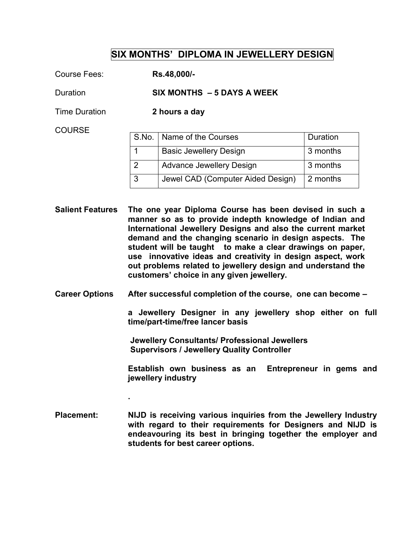# **SIX MONTHS' DIPLOMA IN JEWELLERY DESIGN**

Course Fees: **Rs.48,000/-** 

Duration **SIX MONTHS – 5 DAYS A WEEK** 

Time Duration **2 hours a day** 

**COURSE** 

|               | S.No.   Name of the Courses       | Duration |
|---------------|-----------------------------------|----------|
|               | <b>Basic Jewellery Design</b>     | 3 months |
| $\mathcal{L}$ | <b>Advance Jewellery Design</b>   | 3 months |
|               | Jewel CAD (Computer Aided Design) | 2 months |

**Salient Features The one year Diploma Course has been devised in such a manner so as to provide indepth knowledge of Indian and International Jewellery Designs and also the current market demand and the changing scenario in design aspects. The student will be taught to make a clear drawings on paper, use innovative ideas and creativity in design aspect, work out problems related to jewellery design and understand the customers' choice in any given jewellery.** 

**Career Options After successful completion of the course, one can become –** 

**a Jewellery Designer in any jewellery shop either on full time/part-time/free lancer basis** 

 **Jewellery Consultants/ Professional Jewellers Supervisors / Jewellery Quality Controller** 

**Establish own business as an Entrepreneur in gems and jewellery industry** 

**Placement: NIJD is receiving various inquiries from the Jewellery Industry with regard to their requirements for Designers and NIJD is endeavouring its best in bringing together the employer and students for best career options.** 

**.**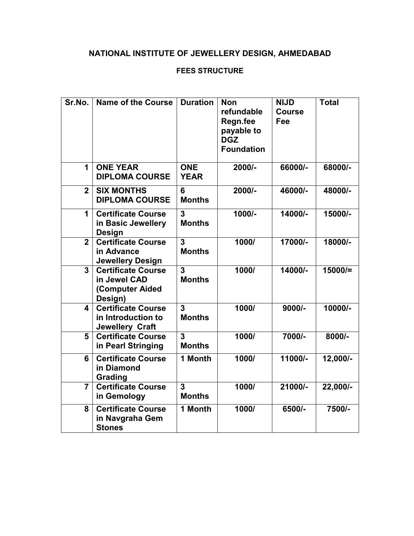# **NATIONAL INSTITUTE OF JEWELLERY DESIGN, AHMEDABAD**

## **FEES STRUCTURE**

| Sr.No.                  | <b>Name of the Course</b>                                                 | <b>Duration</b>                 | <b>Non</b><br>refundable<br>Regn.fee<br>payable to<br><b>DGZ</b><br><b>Foundation</b> | <b>NIJD</b><br><b>Course</b><br>Fee | <b>Total</b> |
|-------------------------|---------------------------------------------------------------------------|---------------------------------|---------------------------------------------------------------------------------------|-------------------------------------|--------------|
| 1                       | <b>ONE YEAR</b><br><b>DIPLOMA COURSE</b>                                  | <b>ONE</b><br><b>YEAR</b>       | 2000/-                                                                                | 66000/-                             | 68000/-      |
| $\overline{2}$          | <b>SIX MONTHS</b><br><b>DIPLOMA COURSE</b>                                | 6<br><b>Months</b>              | $2000/-$                                                                              | 46000/-                             | 48000/-      |
| 1                       | <b>Certificate Course</b><br>in Basic Jewellery<br><b>Design</b>          | 3<br><b>Months</b>              | 1000/-                                                                                | 14000/-                             | 15000/-      |
| $\overline{2}$          | Certificate Course<br>in Advance<br><b>Jewellery Design</b>               | 3<br><b>Months</b>              | 1000/                                                                                 | 17000/-                             | 18000/-      |
| 3                       | <b>Certificate Course</b><br>in Jewel CAD<br>(Computer Aided<br>Design)   | $\overline{3}$<br><b>Months</b> | 1000/                                                                                 | 14000/-                             | $15000/=$    |
| $\overline{\mathbf{4}}$ | <b>Certificate Course</b><br>in Introduction to<br><b>Jewellery Craft</b> | $\overline{3}$<br><b>Months</b> | 1000/                                                                                 | $9000/-$                            | 10000/-      |
| 5                       | <b>Certificate Course</b><br>in Pearl Stringing                           | 3<br><b>Months</b>              | 1000/                                                                                 | 7000/-                              | $8000/-$     |
| 6                       | <b>Certificate Course</b><br>in Diamond<br>Grading                        | 1 Month                         | 1000/                                                                                 | 11000/-                             | 12,000/-     |
| $\overline{7}$          | <b>Certificate Course</b><br>in Gemology                                  | 3<br><b>Months</b>              | 1000/                                                                                 | 21000/-                             | 22,000/-     |
| 8                       | <b>Certificate Course</b><br>in Navgraha Gem<br><b>Stones</b>             | 1 Month                         | 1000/                                                                                 | 6500/-                              | 7500/-       |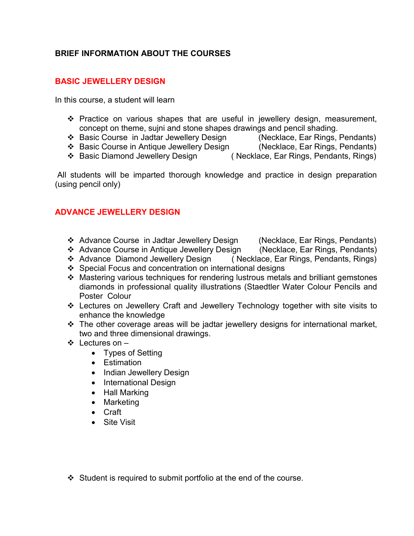# **BRIEF INFORMATION ABOUT THE COURSES**

## **BASIC JEWELLERY DESIGN**

In this course, a student will learn

- Practice on various shapes that are useful in jewellery design, measurement, concept on theme, sujni and stone shapes drawings and pencil shading.
- Basic Course in Jadtar Jewellery Design (Necklace, Ear Rings, Pendants)
- Basic Course in Antique Jewellery Design (Necklace, Ear Rings, Pendants)
- ❖ Basic Diamond Jewellery Design (Necklace, Ear Rings, Pendants, Rings)

 All students will be imparted thorough knowledge and practice in design preparation (using pencil only)

## **ADVANCE JEWELLERY DESIGN**

- Advance Course in Jadtar Jewellery Design (Necklace, Ear Rings, Pendants)
- Advance Course in Antique Jewellery Design (Necklace, Ear Rings, Pendants)
- ❖ Advance Diamond Jewellery Design (Necklace, Ear Rings, Pendants, Rings)
- Special Focus and concentration on international designs
- Mastering various techniques for rendering lustrous metals and brilliant gemstones diamonds in professional quality illustrations (Staedtler Water Colour Pencils and Poster Colour
- Lectures on Jewellery Craft and Jewellery Technology together with site visits to enhance the knowledge
- $\div$  The other coverage areas will be jadtar jewellery designs for international market, two and three dimensional drawings.
- Lectures on
	- Types of Setting
	- Estimation
	- Indian Jewellery Design
	- International Design
	- Hall Marking
	- Marketing
	- Craft
	- Site Visit

 $\div$  Student is required to submit portfolio at the end of the course.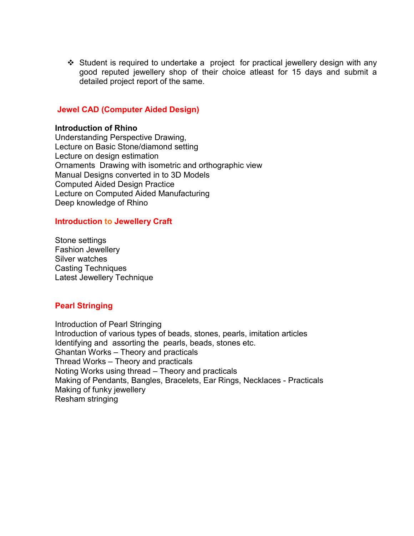Student is required to undertake a project for practical jewellery design with any good reputed jewellery shop of their choice atleast for 15 days and submit a detailed project report of the same.

### **Jewel CAD (Computer Aided Design)**

#### **Introduction of Rhino**

Understanding Perspective Drawing, Lecture on Basic Stone/diamond setting Lecture on design estimation Ornaments Drawing with isometric and orthographic view Manual Designs converted in to 3D Models Computed Aided Design Practice Lecture on Computed Aided Manufacturing Deep knowledge of Rhino

### **Introduction to Jewellery Craft**

Stone settings Fashion Jewellery Silver watches Casting Techniques Latest Jewellery Technique

#### **Pearl Stringing**

Introduction of Pearl Stringing Introduction of various types of beads, stones, pearls, imitation articles Identifying and assorting the pearls, beads, stones etc. Ghantan Works – Theory and practicals Thread Works – Theory and practicals Noting Works using thread – Theory and practicals Making of Pendants, Bangles, Bracelets, Ear Rings, Necklaces - Practicals Making of funky jewellery Resham stringing